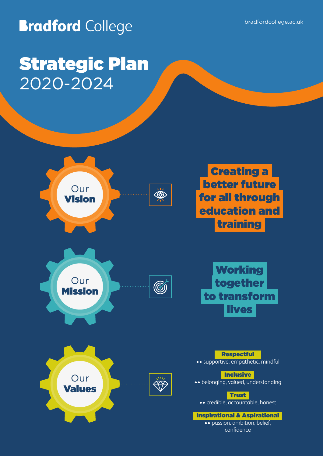**Bradford College** 

# Strategic Plan 2020-2024